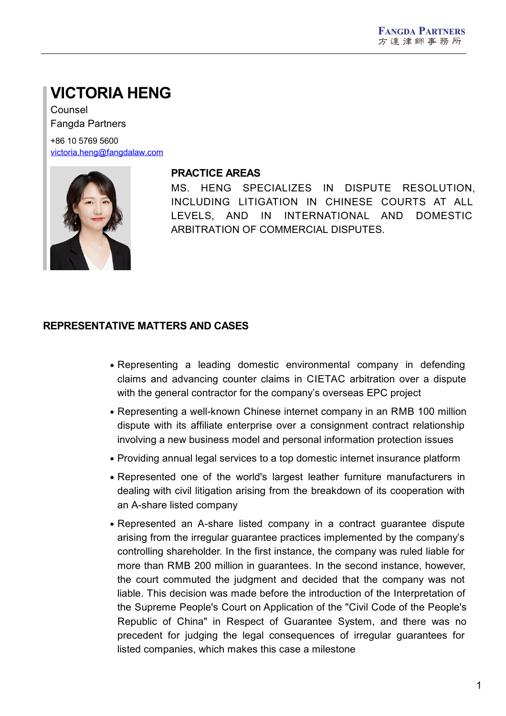# **VICTORIA HENG**

Counsel Fangda Partners

+86 10 5769 5600 [victoria.heng@fangdalaw.com](mailto:victoria.heng@fangdalaw.com)



## **PRACTICE AREAS**

MS. HENG SPECIALIZES IN DISPUTE RESOLUTION, INCLUDING LITIGATION IN CHINESE COURTS AT ALL LEVELS, AND IN INTERNATIONAL AND DOMESTIC ARBITRATION OF COMMERCIAL DISPUTES.

#### **REPRESENTATIVE MATTERS AND CASES**

- Representing a leading domestic environmental company in defending claims and advancing counter claims in CIETAC arbitration over a dispute with the general contractor for the company's overseas EPC project
- Representing a well-known Chinese internet company in an RMB 100 million dispute with its affiliate enterprise over a consignment contract relationship involving a new business model and personal information protection issues
- Providing annual legal services to a top domestic internet insurance platform
- Represented one of the world's largest leather furniture manufacturers in dealing with civil litigation arising from the breakdown of its cooperation with an A-share listed company
- Represented an A-share listed company in a contract guarantee dispute arising from the irregular guarantee practices implemented by the company's controlling shareholder. In the first instance, the company was ruled liable for more than RMB 200 million in guarantees. In the second instance, however, the court commuted the judgment and decided that the company was not liable. This decision was made before the introduction of the Interpretation of the Supreme People's Court on Application of the "Civil Code of the People's Republic of China" in Respect of Guarantee System, and there was no precedent for judging the legal consequences of irregular guarantees for listed companies, which makes this case a milestone